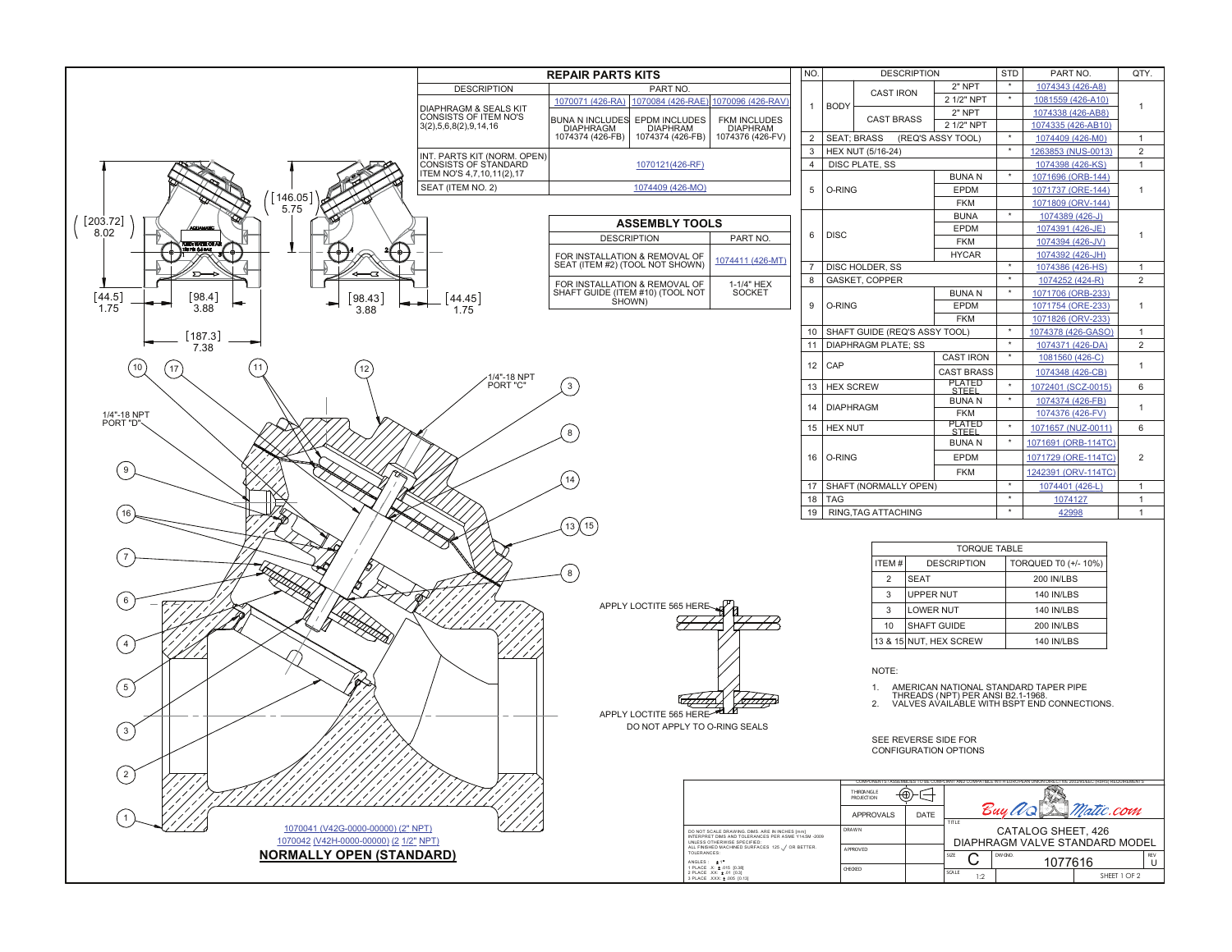